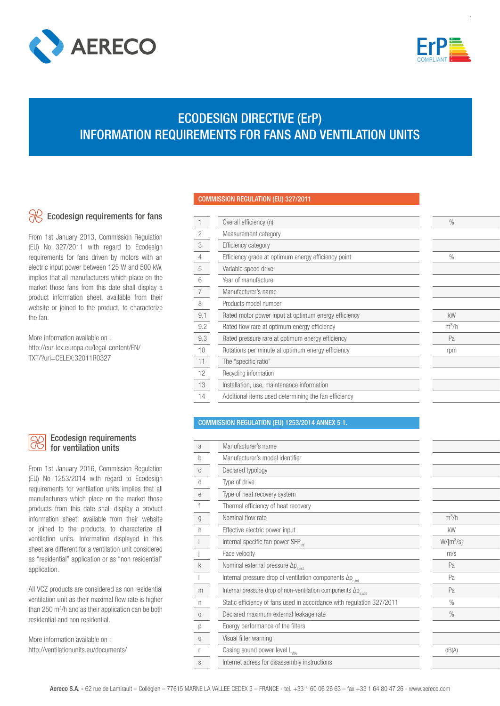



# ECODESIGN DIRECTIVE (ErP) INFORMATION REQUIREMENTS FOR FANS AND VENTILATION UNITS

# Ecodesign requirements for fans

From 1st January 2013, Commission Regulation (EU) No 327/2011 with regard to Ecodesign requirements for fans driven by motors with an electric input power between 125 W and 500 kW, implies that all manufacturers which place on the market those fans from this date shall display a product information sheet, available from their website or joined to the product, to characterize the fan.

More information available on : http://eur-lex.europa.eu/legal-content/EN/ TXT/?uri=CELEX:32011R0327

# COMMISSION REGULATION (EU) 327/2011

L

L

| $\mathbf{1}$   | Overall efficiency (n)                               | $\%$          |
|----------------|------------------------------------------------------|---------------|
| $\overline{c}$ | Measurement category                                 |               |
| 3              | <b>Efficiency category</b>                           |               |
| $\overline{4}$ | Efficiency grade at optimum energy efficiency point  | $\frac{0}{0}$ |
| 5              | Variable speed drive                                 |               |
| 6              | Year of manufacture                                  |               |
| 7              | Manufacturer's name                                  |               |
| 8              | Products model number                                |               |
| 9.1            | Rated motor power input at optimum energy efficiency | <b>kW</b>     |
| 9.2            | Rated flow rare at optimum energy efficiency         | $m^3/h$       |
| 9.3            | Rated pressure rare at optimum energy efficiency     | Pa            |
| 10             | Rotations per minute at optimum energy efficiency    | rpm           |
| 11             | The "specific ratio"                                 |               |
| 12             | Recycling information                                |               |
| 13             | Installation, use, maintenance information           |               |
| 14             | Additional items used determining the fan efficiency |               |
|                |                                                      |               |

## COMMISSION REGULATION (EU) 1253/2014 ANNEX 5 1.

| a            | Manufacturer's name                                                        |             |  |
|--------------|----------------------------------------------------------------------------|-------------|--|
| $\mathsf{h}$ | Manufacturer's model identifier                                            |             |  |
| C            | Declared typology                                                          |             |  |
| d            | Type of drive                                                              |             |  |
| e            | Type of heat recovery system                                               |             |  |
|              | Thermal efficiency of heat recovery                                        |             |  |
| g            | Nominal flow rate                                                          | $m^3/h$     |  |
| h            | Effective electric power input                                             | kW          |  |
|              | Internal specific fan power SFP <sub>int</sub>                             | $W/[m^3/s]$ |  |
|              | Face velocity                                                              | m/s         |  |
| k            | Nominal external pressure $\Delta p_{s,ext}$                               | Pa          |  |
|              | Internal pressure drop of ventilation components $\Delta p_{\text{s,int}}$ | Pa          |  |
| m            | Internal pressure drop of non-ventilation components Δp <sub>s.add</sub>   | Pa          |  |
| n            | Static efficiency of fans used in accordance with regulation 327/2011      | $\%$        |  |
| $\mathbf{0}$ | Declared maximum external leakage rate                                     | $\%$        |  |
| р            | Energy performance of the filters                                          |             |  |
| q            | Visual filter warning                                                      |             |  |
|              | Casing sound power level L <sub>wa</sub>                                   | dB(A)       |  |
| S            | Internet adress for disassembly instructions                               |             |  |
|              |                                                                            |             |  |

## Ecodesign requirements for ventilation units

From 1st January 2016, Commission Regulation (EU) No 1253/2014 with regard to Ecodesign requirements for ventilation units implies that all manufacturers which place on the market those products from this date shall display a product information sheet, available from their website or joined to the products, to characterize all ventilation units. Information displayed in this sheet are different for a ventilation unit considered as "residential" application or as "non residential" application.

All VCZ products are considered as non residential ventilation unit as their maximal flow rate is higher than 250 m3 /h and as their application can be both residential and non residential.

More information available on : http://ventilationunits.eu/documents/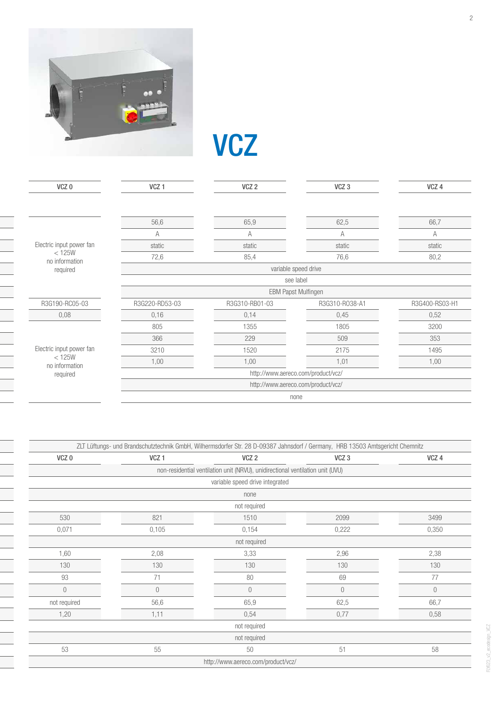

**VCZ** 

| VCZ <sub>0</sub>         | VCZ <sub>1</sub>                   | VCZ <sub>2</sub> | VCZ <sub>3</sub>                   | VCZ 4          |
|--------------------------|------------------------------------|------------------|------------------------------------|----------------|
|                          |                                    |                  |                                    |                |
|                          | 56,6                               | 65,9             | 62,5                               | 66,7           |
|                          | A                                  | Α                | A                                  | A              |
| Electric input power fan | static                             | static           | static                             | static         |
| < 125W<br>no information | 72,6                               | 85,4             | 76,6                               | 80,2           |
| required                 |                                    |                  | variable speed drive               |                |
|                          |                                    |                  | see label                          |                |
|                          |                                    |                  | <b>EBM Papst Mulfingen</b>         |                |
| R3G190-RC05-03           | R3G220-RD53-03                     | R3G310-RB01-03   | R3G310-R038-A1                     | R3G400-RS03-H1 |
| 0,08                     | 0,16                               | 0,14             | 0,45                               | 0,52           |
|                          | 805                                | 1355             | 1805                               | 3200           |
|                          | 366                                | 229              | 509                                | 353            |
| Electric input power fan | 3210                               | 1520             | 2175                               | 1495           |
| < 125W<br>no information | 1,00                               | 1,00             | 1,01                               | 1,00           |
| required                 | http://www.aereco.com/product/vcz/ |                  |                                    |                |
|                          |                                    |                  | http://www.aereco.com/product/vcz/ |                |
|                          |                                    |                  | none                               |                |

|                  |                  | ZLT Lüftungs- und Brandschutztechnik GmbH, Wilhermsdorfer Str. 28 D-09387 Jahnsdorf / Germany, HRB 13503 Amtsgericht Chemnitz |                  |                |
|------------------|------------------|-------------------------------------------------------------------------------------------------------------------------------|------------------|----------------|
| VCZ <sub>0</sub> | VCZ <sub>1</sub> | VCZ <sub>2</sub>                                                                                                              | VCZ <sub>3</sub> | VCZ 4          |
|                  |                  | non-residential ventilation unit (NRVU), unidirectional ventilation unit (UVU)                                                |                  |                |
|                  |                  | variable speed drive integrated                                                                                               |                  |                |
|                  |                  | none                                                                                                                          |                  |                |
|                  |                  | not required                                                                                                                  |                  |                |
| 530              | 821              | 1510                                                                                                                          | 2099             | 3499           |
| 0,071            | 0,105            | 0,154                                                                                                                         | 0,222            | 0,350          |
|                  |                  | not required                                                                                                                  |                  |                |
| 1,60             | 2,08             | 3,33                                                                                                                          | 2,96             | 2,38           |
| 130              | 130              | 130                                                                                                                           | 130              | 130            |
| 93               | 71               | 80                                                                                                                            | 69               | 77             |
| $\overline{0}$   | $\overline{0}$   | $\overline{0}$                                                                                                                | $\mathbf 0$      | $\overline{0}$ |
| not required     | 56,6             | 65,9                                                                                                                          | 62,5             | 66,7           |
| 1,20             | 1,11             | 0,54                                                                                                                          | 0,77             | 0,58           |
|                  |                  | not required                                                                                                                  |                  |                |
|                  |                  | not required                                                                                                                  |                  |                |
| 53               | 55               | 50                                                                                                                            | 51               | 58             |
|                  |                  | http://www.aereco.com/product/vcz/                                                                                            |                  |                |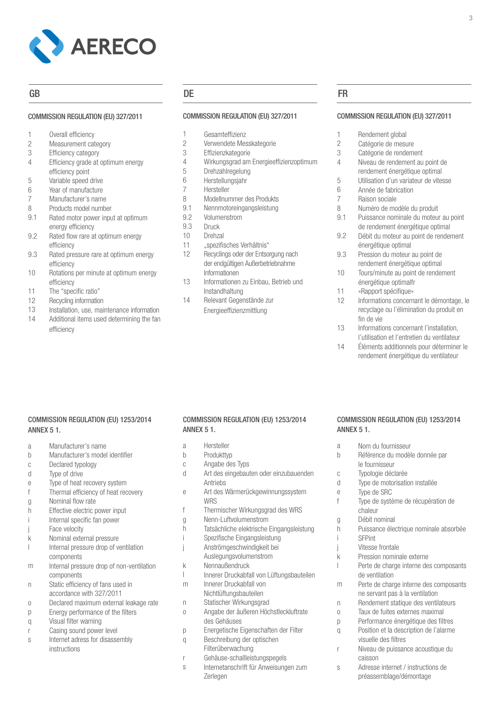

### COMMISSION REGULATION (EU) 327/2011

|  |  | Overall efficiency |
|--|--|--------------------|
|--|--|--------------------|

- Measurement category 2
- Efficiency category 3
- Efficiency grade at optimum energy efficiency point 4
- Variable speed drive 5
- Year of manufacture 6
- Manufacturer's name 7
- Products model number 8
- Rated motor power input at optimum energy efficiency 9.1
- Rated flow rare at optimum energy efficiency 9.2
- Rated pressure rare at optimum energy efficiency 9.3
- Rotations per minute at optimum energy efficiency 10
- The "specific ratio" 11
- Recycling information 12
- Installation, use, maintenance information 13
- Additional items used determining the fan efficiency 14

# GB DE FR

# COMMISSION REGULATION (EU) 327/2011

- Gesamteffizienz 1
- Verwendete Messkategorie 2
- **Effizienzkategorie** 3
- Wirkungsgrad am Energieeffizienzoptimum 4
- **Drehzahlregelung** 5
- Herstellungsjahr 6
- Hersteller 7
- Modellnummer des Produkts 8
- Nennmotoreingangsleistung 9.1
- Volumenstrom 9.2
- Druck 9.3
- Drehzal 10
- "spezifisches Verhältnis" 11
- Recyclings oder der Entsorgung nach der endgültigen Außerbetriebnahme Informationen 12
- Informationen zu Einbau, Betrieb und Instandhaltung 13
- Relevant Gegenstände zur Energieeffizienzmittlung 14

1

### COMMISSION REGULATION (EU) 327/2011

3

- Rendement global
- Catégorie de mesure 2
- Catégorie de rendement 3
- Niveau de rendement au point de rendement énergétique optimal 4
- Utilisation d'un variateur de vitesse 5
- Année de fabrication 6 7
- Raison sociale
- Numéro de modèle du produit Puissance nominale du moteur au point 8 9.1
- de rendement énergétique optimal
- Débit du moteur au point de rendement énergétique optimal 9.2
- Pression du moteur au point de rendement énergétique optimal 9.3
- Tours/minute au point de rendement énergétique optimalfr 10
- «Rapport spécifique» 11
- Informations concernant le démontage, le recyclage ou l'élimination du produit en fin de vie 12
- Informations concernant l'installation, l'utilisation et l'entretien du ventilateur 13
- Éléments additionnels pour déterminer le rendement énergétique du ventilateur 14

# COMMISSION REGULATION (EU) 1253/2014 ANNEX 5 1.

- Manufacturer's name a
- Manufacturer's model identifier  $h$
- Declared typology c
- Type of drive d
- Type of heat recovery system e
- Thermal efficiency of heat recovery f
- Nominal flow rate g
- Effective electric power input h
- Internal specific fan power  $\mathbf{i}$ i
- Face velocity j
- Nominal external pressure k
- Internal pressure drop of ventilation  $\mathbf{I}$ l components
- Internal pressure drop of non-ventilation components m
- Static efficiency of fans used in accordance with 327/2011 n
- Declared maximum external leakage rate o
- Energy performance of the filters  $\overline{D}$
- Visual filter warning  $\alpha$
- Casing sound power level r
- Internet adress for disassembly instructions s

# COMMISSION REGULATION (EU) 1253/2014 ANNEX 5 1.

- Hersteller a
- Produkttyp b
- Angabe des Typs c
- Art des eingebauten oder einzubauenden Antriebs d
- Art des Wärmerückgewinnungssystem **WRS** e
- Thermischer Wirkungsgrad des WRS f
- Nenn-Luftvolumenstrom g
- Tatsächliche elektrische Eingangsleistung h
- Spezifische Eingangsleistung í. i
- Anströmgeschwindigkeit bei  $\mathbf{j}$
- Auslegungsvolumenstrom
- Nennaußendruck k
- Innerer Druckabfall von Lüftungsbauteilen  $\overline{1}$ l
- Innerer Druckabfall von m
- Nichtlüftungsbauteilen
- Statischer Wirkungsgrad n
- Angabe der äußeren Höchstleckluftrate des Gehäuses o
- Energetische Eigenschaften der Filter p
- Beschreibung der optischen  $\alpha$
- Filterüberwachung
- Gehäuse-schallleistungspegels r
- Internetanschrift für Anweisungen zum Zerlegen s

# COMMISSION REGULATION (EU) 1253/2014 ANNEX 5 1.

Type de motorisation installée

Pression nominale externe

ne servant pas à la ventilation Rendement statique des ventilateurs Taux de fuites externes maximal Performance énergétique des filtres Position et la description de l'alarme

Niveau de puissance acoustique du

Adresse internet / instructions de préassemblage/démontage

Type de système de récupération de

Puissance électrique nominale absorbée

Perte de charge interne des composants

Perte de charge interne des composants

Nom du fournisseur Référence du modèle donnée par a b

> le fournisseur Typologie déclarée

Type de SRC

chaleur Débit nominal

c d e f

g h i

İ

İ

k l

m

n o  $\overline{p}$ q

r

s

SFPint Vitesse frontale

de ventilation

visuelle des filtres

caisson